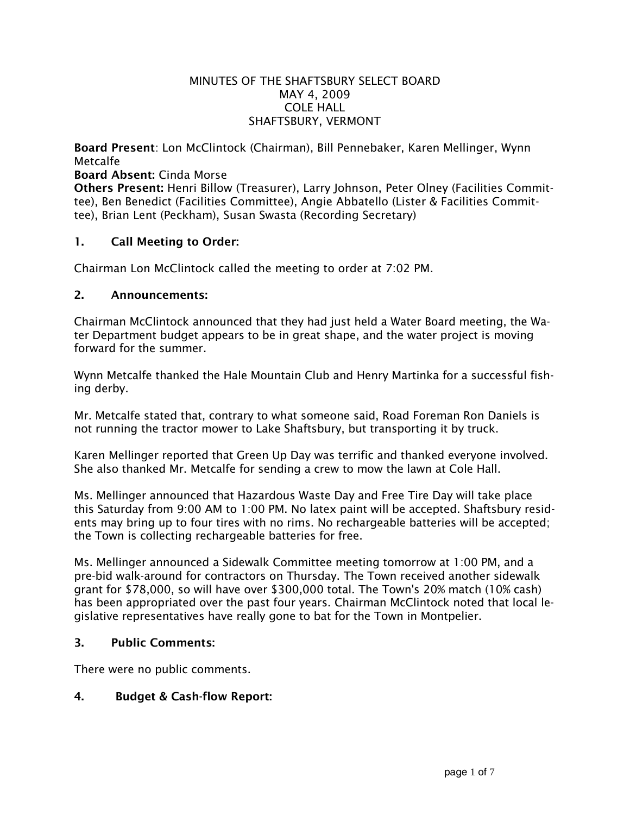#### MINUTES OF THE SHAFTSBURY SELECT BOARD MAY 4, 2009 COLE HALL SHAFTSBURY, VERMONT

Board Present: Lon McClintock (Chairman), Bill Pennebaker, Karen Mellinger, Wynn Metcalfe

Board Absent: Cinda Morse

Others Present: Henri Billow (Treasurer), Larry Johnson, Peter Olney (Facilities Committee), Ben Benedict (Facilities Committee), Angie Abbatello (Lister & Facilities Committee), Brian Lent (Peckham), Susan Swasta (Recording Secretary)

## 1. Call Meeting to Order:

Chairman Lon McClintock called the meeting to order at 7:02 PM.

#### 2. Announcements:

Chairman McClintock announced that they had just held a Water Board meeting, the Water Department budget appears to be in great shape, and the water project is moving forward for the summer.

Wynn Metcalfe thanked the Hale Mountain Club and Henry Martinka for a successful fishing derby.

Mr. Metcalfe stated that, contrary to what someone said, Road Foreman Ron Daniels is not running the tractor mower to Lake Shaftsbury, but transporting it by truck.

Karen Mellinger reported that Green Up Day was terrific and thanked everyone involved. She also thanked Mr. Metcalfe for sending a crew to mow the lawn at Cole Hall.

Ms. Mellinger announced that Hazardous Waste Day and Free Tire Day will take place this Saturday from 9:00 AM to 1:00 PM. No latex paint will be accepted. Shaftsbury residents may bring up to four tires with no rims. No rechargeable batteries will be accepted; the Town is collecting rechargeable batteries for free.

Ms. Mellinger announced a Sidewalk Committee meeting tomorrow at 1:00 PM, and a pre-bid walk-around for contractors on Thursday. The Town received another sidewalk grant for \$78,000, so will have over \$300,000 total. The Town's 20% match (10% cash) has been appropriated over the past four years. Chairman McClintock noted that local legislative representatives have really gone to bat for the Town in Montpelier.

#### 3. Public Comments:

There were no public comments.

# 4. Budget & Cash-flow Report: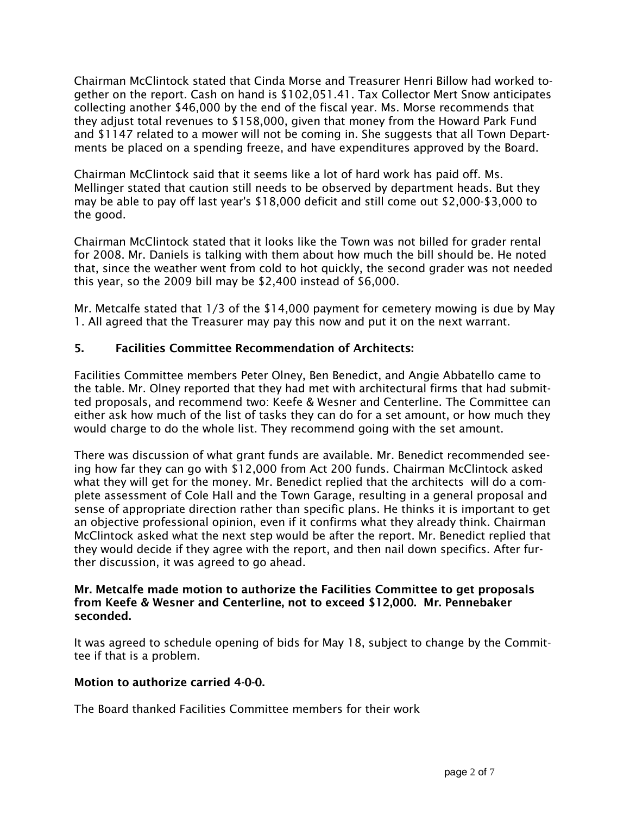Chairman McClintock stated that Cinda Morse and Treasurer Henri Billow had worked together on the report. Cash on hand is \$102,051.41. Tax Collector Mert Snow anticipates collecting another \$46,000 by the end of the fiscal year. Ms. Morse recommends that they adjust total revenues to \$158,000, given that money from the Howard Park Fund and \$1147 related to a mower will not be coming in. She suggests that all Town Departments be placed on a spending freeze, and have expenditures approved by the Board.

Chairman McClintock said that it seems like a lot of hard work has paid off. Ms. Mellinger stated that caution still needs to be observed by department heads. But they may be able to pay off last year's \$18,000 deficit and still come out \$2,000-\$3,000 to the good.

Chairman McClintock stated that it looks like the Town was not billed for grader rental for 2008. Mr. Daniels is talking with them about how much the bill should be. He noted that, since the weather went from cold to hot quickly, the second grader was not needed this year, so the 2009 bill may be \$2,400 instead of \$6,000.

Mr. Metcalfe stated that 1/3 of the \$14,000 payment for cemetery mowing is due by May 1. All agreed that the Treasurer may pay this now and put it on the next warrant.

## 5. Facilities Committee Recommendation of Architects:

Facilities Committee members Peter Olney, Ben Benedict, and Angie Abbatello came to the table. Mr. Olney reported that they had met with architectural firms that had submitted proposals, and recommend two: Keefe & Wesner and Centerline. The Committee can either ask how much of the list of tasks they can do for a set amount, or how much they would charge to do the whole list. They recommend going with the set amount.

There was discussion of what grant funds are available. Mr. Benedict recommended seeing how far they can go with \$12,000 from Act 200 funds. Chairman McClintock asked what they will get for the money. Mr. Benedict replied that the architects will do a complete assessment of Cole Hall and the Town Garage, resulting in a general proposal and sense of appropriate direction rather than specific plans. He thinks it is important to get an objective professional opinion, even if it confirms what they already think. Chairman McClintock asked what the next step would be after the report. Mr. Benedict replied that they would decide if they agree with the report, and then nail down specifics. After further discussion, it was agreed to go ahead.

#### Mr. Metcalfe made motion to authorize the Facilities Committee to get proposals from Keefe & Wesner and Centerline, not to exceed \$12,000. Mr. Pennebaker seconded.

It was agreed to schedule opening of bids for May 18, subject to change by the Committee if that is a problem.

#### Motion to authorize carried 4-0-0.

The Board thanked Facilities Committee members for their work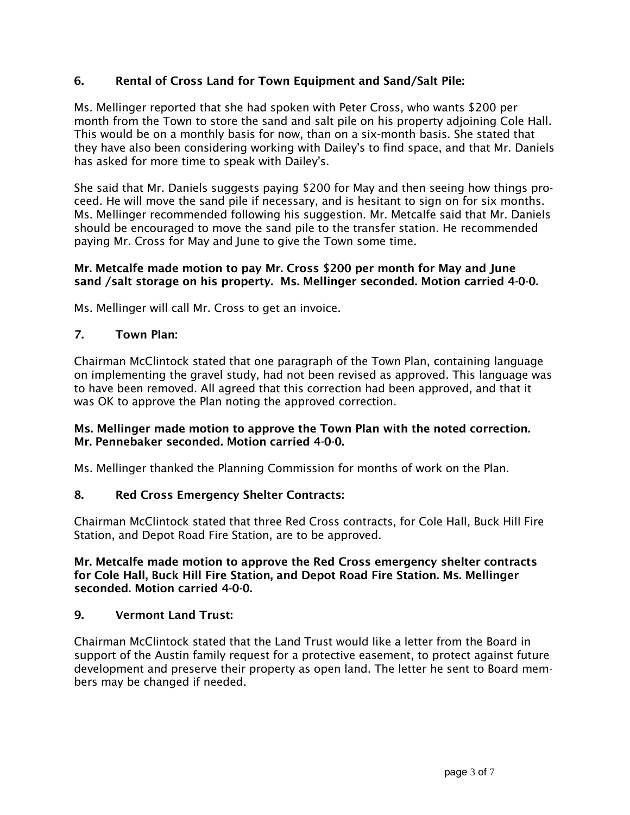# 6. Rental of Cross Land for Town Equipment and Sand/Salt Pile:

Ms. Mellinger reported that she had spoken with Peter Cross, who wants \$200 per month from the Town to store the sand and salt pile on his property adjoining Cole Hall. This would be on a monthly basis for now, than on a six-month basis. She stated that they have also been considering working with Dailey's to find space, and that Mr. Daniels has asked for more time to speak with Dailey's.

She said that Mr. Daniels suggests paying \$200 for May and then seeing how things proceed. He will move the sand pile if necessary, and is hesitant to sign on for six months. Ms. Mellinger recommended following his suggestion. Mr. Metcalfe said that Mr. Daniels should be encouraged to move the sand pile to the transfer station. He recommended paying Mr. Cross for May and June to give the Town some time.

### Mr. Metcalfe made motion to pay Mr. Cross \$200 per month for May and June sand /salt storage on his property. Ms. Mellinger seconded. Motion carried 4-0-0.

Ms. Mellinger will call Mr. Cross to get an invoice.

## 7. Town Plan:

Chairman McClintock stated that one paragraph of the Town Plan, containing language on implementing the gravel study, had not been revised as approved. This language was to have been removed. All agreed that this correction had been approved, and that it was OK to approve the Plan noting the approved correction.

## Ms. Mellinger made motion to approve the Town Plan with the noted correction. Mr. Pennebaker seconded. Motion carried 4-0-0.

Ms. Mellinger thanked the Planning Commission for months of work on the Plan.

# 8. Red Cross Emergency Shelter Contracts:

Chairman McClintock stated that three Red Cross contracts, for Cole Hall, Buck Hill Fire Station, and Depot Road Fire Station, are to be approved.

#### Mr. Metcalfe made motion to approve the Red Cross emergency shelter contracts for Cole Hall, Buck Hill Fire Station, and Depot Road Fire Station. Ms. Mellinger seconded. Motion carried 4-0-0.

#### 9. Vermont Land Trust:

Chairman McClintock stated that the Land Trust would like a letter from the Board in support of the Austin family request for a protective easement, to protect against future development and preserve their property as open land. The letter he sent to Board members may be changed if needed.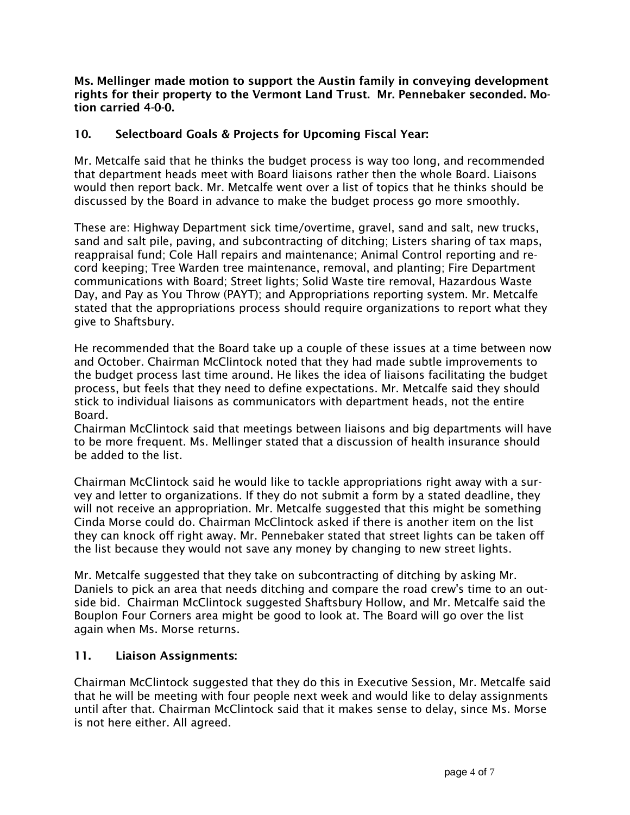Ms. Mellinger made motion to support the Austin family in conveying development rights for their property to the Vermont Land Trust. Mr. Pennebaker seconded. Motion carried 4-0-0.

# 10. Selectboard Goals & Projects for Upcoming Fiscal Year:

Mr. Metcalfe said that he thinks the budget process is way too long, and recommended that department heads meet with Board liaisons rather then the whole Board. Liaisons would then report back. Mr. Metcalfe went over a list of topics that he thinks should be discussed by the Board in advance to make the budget process go more smoothly.

These are: Highway Department sick time/overtime, gravel, sand and salt, new trucks, sand and salt pile, paving, and subcontracting of ditching; Listers sharing of tax maps, reappraisal fund; Cole Hall repairs and maintenance; Animal Control reporting and record keeping; Tree Warden tree maintenance, removal, and planting; Fire Department communications with Board; Street lights; Solid Waste tire removal, Hazardous Waste Day, and Pay as You Throw (PAYT); and Appropriations reporting system. Mr. Metcalfe stated that the appropriations process should require organizations to report what they give to Shaftsbury.

He recommended that the Board take up a couple of these issues at a time between now and October. Chairman McClintock noted that they had made subtle improvements to the budget process last time around. He likes the idea of liaisons facilitating the budget process, but feels that they need to define expectations. Mr. Metcalfe said they should stick to individual liaisons as communicators with department heads, not the entire Board.

Chairman McClintock said that meetings between liaisons and big departments will have to be more frequent. Ms. Mellinger stated that a discussion of health insurance should be added to the list.

Chairman McClintock said he would like to tackle appropriations right away with a survey and letter to organizations. If they do not submit a form by a stated deadline, they will not receive an appropriation. Mr. Metcalfe suggested that this might be something Cinda Morse could do. Chairman McClintock asked if there is another item on the list they can knock off right away. Mr. Pennebaker stated that street lights can be taken off the list because they would not save any money by changing to new street lights.

Mr. Metcalfe suggested that they take on subcontracting of ditching by asking Mr. Daniels to pick an area that needs ditching and compare the road crew's time to an outside bid. Chairman McClintock suggested Shaftsbury Hollow, and Mr. Metcalfe said the Bouplon Four Corners area might be good to look at. The Board will go over the list again when Ms. Morse returns.

# 11. Liaison Assignments:

Chairman McClintock suggested that they do this in Executive Session, Mr. Metcalfe said that he will be meeting with four people next week and would like to delay assignments until after that. Chairman McClintock said that it makes sense to delay, since Ms. Morse is not here either. All agreed.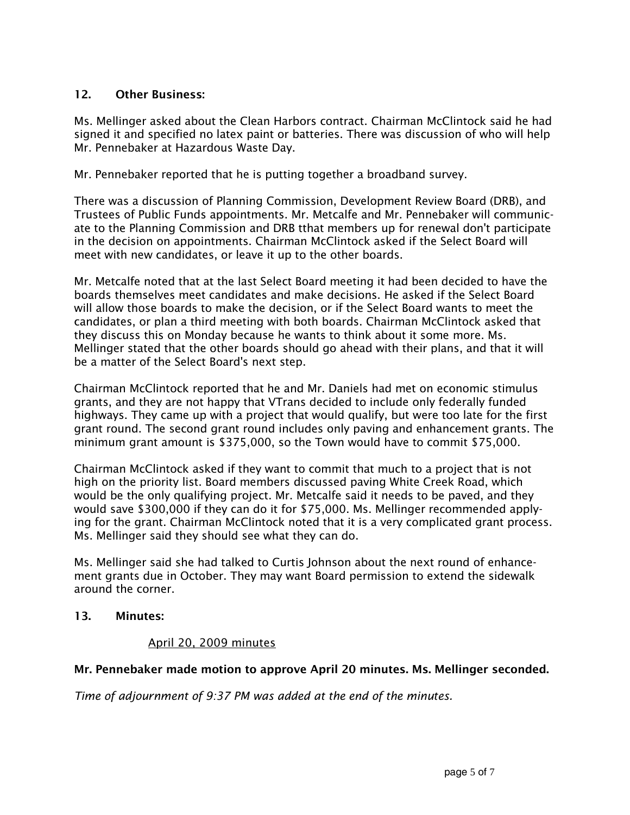## 12. Other Business:

Ms. Mellinger asked about the Clean Harbors contract. Chairman McClintock said he had signed it and specified no latex paint or batteries. There was discussion of who will help Mr. Pennebaker at Hazardous Waste Day.

Mr. Pennebaker reported that he is putting together a broadband survey.

There was a discussion of Planning Commission, Development Review Board (DRB), and Trustees of Public Funds appointments. Mr. Metcalfe and Mr. Pennebaker will communicate to the Planning Commission and DRB tthat members up for renewal don't participate in the decision on appointments. Chairman McClintock asked if the Select Board will meet with new candidates, or leave it up to the other boards.

Mr. Metcalfe noted that at the last Select Board meeting it had been decided to have the boards themselves meet candidates and make decisions. He asked if the Select Board will allow those boards to make the decision, or if the Select Board wants to meet the candidates, or plan a third meeting with both boards. Chairman McClintock asked that they discuss this on Monday because he wants to think about it some more. Ms. Mellinger stated that the other boards should go ahead with their plans, and that it will be a matter of the Select Board's next step.

Chairman McClintock reported that he and Mr. Daniels had met on economic stimulus grants, and they are not happy that VTrans decided to include only federally funded highways. They came up with a project that would qualify, but were too late for the first grant round. The second grant round includes only paving and enhancement grants. The minimum grant amount is \$375,000, so the Town would have to commit \$75,000.

Chairman McClintock asked if they want to commit that much to a project that is not high on the priority list. Board members discussed paving White Creek Road, which would be the only qualifying project. Mr. Metcalfe said it needs to be paved, and they would save \$300,000 if they can do it for \$75,000. Ms. Mellinger recommended applying for the grant. Chairman McClintock noted that it is a very complicated grant process. Ms. Mellinger said they should see what they can do.

Ms. Mellinger said she had talked to Curtis Johnson about the next round of enhancement grants due in October. They may want Board permission to extend the sidewalk around the corner.

#### 13. Minutes:

#### April 20, 2009 minutes

#### Mr. Pennebaker made motion to approve April 20 minutes. Ms. Mellinger seconded.

*Time of adjournment of 9:37 PM was added at the end of the minutes.*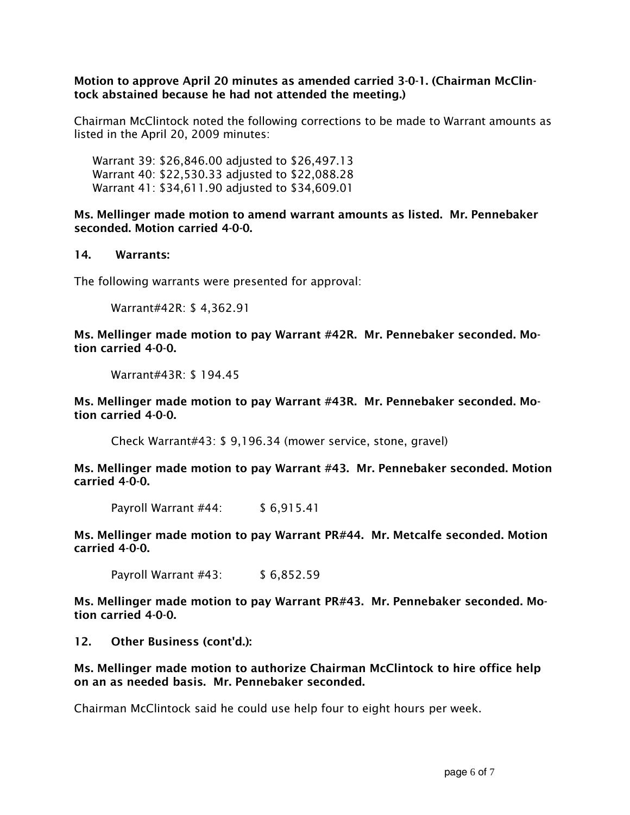### Motion to approve April 20 minutes as amended carried 3-0-1. (Chairman McClintock abstained because he had not attended the meeting.)

Chairman McClintock noted the following corrections to be made to Warrant amounts as listed in the April 20, 2009 minutes:

Warrant 39: \$26,846.00 adjusted to \$26,497.13 Warrant 40: \$22,530.33 adjusted to \$22,088.28 Warrant 41: \$34,611.90 adjusted to \$34,609.01

Ms. Mellinger made motion to amend warrant amounts as listed. Mr. Pennebaker seconded. Motion carried 4-0-0.

#### 14. Warrants:

The following warrants were presented for approval:

Warrant#42R: \$ 4,362.91

Ms. Mellinger made motion to pay Warrant #42R. Mr. Pennebaker seconded. Motion carried 4-0-0.

Warrant#43R: \$ 194.45

Ms. Mellinger made motion to pay Warrant #43R. Mr. Pennebaker seconded. Motion carried 4-0-0.

Check Warrant#43: \$ 9,196.34 (mower service, stone, gravel)

Ms. Mellinger made motion to pay Warrant #43. Mr. Pennebaker seconded. Motion carried 4-0-0.

Payroll Warrant #44: \$ 6,915.41

Ms. Mellinger made motion to pay Warrant PR#44. Mr. Metcalfe seconded. Motion carried 4-0-0.

Payroll Warrant #43: \$6,852.59

Ms. Mellinger made motion to pay Warrant PR#43. Mr. Pennebaker seconded. Motion carried 4-0-0.

12. Other Business (cont'd.):

Ms. Mellinger made motion to authorize Chairman McClintock to hire office help on an as needed basis. Mr. Pennebaker seconded.

Chairman McClintock said he could use help four to eight hours per week.